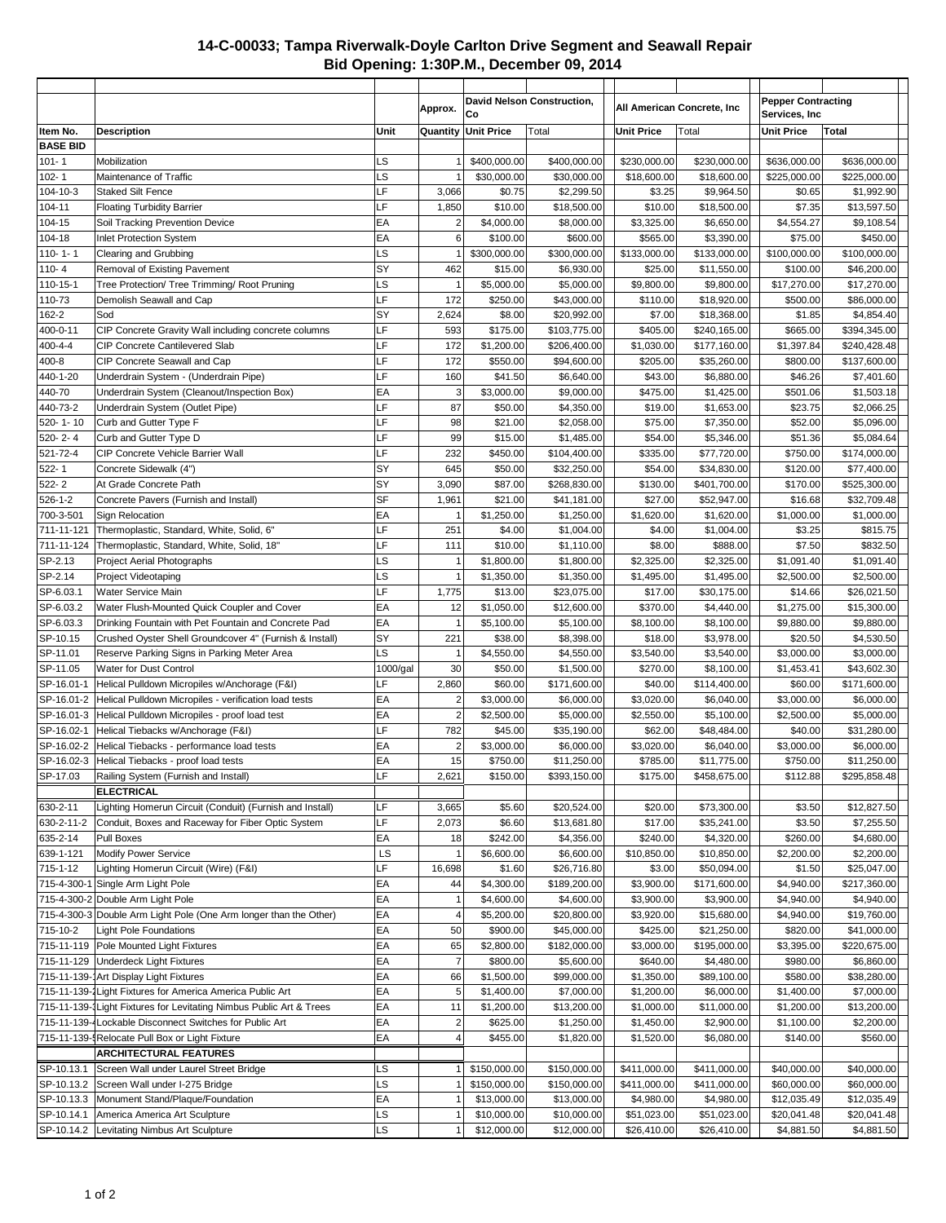## **14-C-00033; Tampa Riverwalk-Doyle Carlton Drive Segment and Seawall Repair Bid Opening: 1:30P.M., December 09, 2014**

|                              |                                                                                                                 |           | Approx.                 | Co                       | David Nelson Construction,  |                          | All American Concrete, Inc  | <b>Pepper Contracting</b><br>Services, Inc. |                            |
|------------------------------|-----------------------------------------------------------------------------------------------------------------|-----------|-------------------------|--------------------------|-----------------------------|--------------------------|-----------------------------|---------------------------------------------|----------------------------|
| Item No.                     | <b>Description</b>                                                                                              | Unit      | Quantity                | <b>Unit Price</b>        | Total                       | <b>Unit Price</b>        | Total                       | <b>Unit Price</b>                           | Total                      |
| <b>BASE BID</b><br>$101 - 1$ | Mobilization                                                                                                    | LS        |                         | \$400,000.00             | \$400,000.00                | \$230,000.00             | \$230,000.00                | \$636,000.00                                | \$636,000.00               |
| $102 - 1$                    | Maintenance of Traffic                                                                                          | LS        |                         | \$30,000.00              | \$30,000.00                 | \$18,600.00              | \$18,600.00                 | \$225,000.00                                | \$225,000.00               |
| 104-10-3                     | <b>Staked Silt Fence</b>                                                                                        | LF        | 3,066                   | \$0.75                   | \$2,299.50                  | \$3.25                   | \$9,964.50                  | \$0.65                                      | \$1,992.90                 |
| 104-11                       | <b>Floating Turbidity Barrier</b>                                                                               | LF        | 1,850                   | \$10.00                  | \$18,500.00                 | \$10.00                  | \$18,500.00                 | \$7.35                                      | \$13,597.50                |
| 104-15                       | Soil Tracking Prevention Device                                                                                 | EA        | $\overline{2}$          | \$4,000.00               | \$8,000.00                  | \$3,325.00               | \$6,650.00                  | \$4,554.27                                  | \$9,108.54                 |
| 104-18                       | Inlet Protection System                                                                                         | EA        | 6                       | \$100.00                 | \$600.00                    | \$565.00                 | \$3,390.00                  | \$75.00                                     | \$450.00                   |
| $110 - 1 - 1$                | Clearing and Grubbing                                                                                           | LS        | $\overline{1}$          | \$300,000.00             | \$300,000.00                | \$133,000.00             | \$133,000.00                | \$100,000.00                                | \$100,000.00               |
| $110 - 4$                    | Removal of Existing Pavement                                                                                    | SY        | 462                     | \$15.00                  | \$6,930.00                  | \$25.00                  | \$11,550.00                 | \$100.00                                    | \$46,200.00                |
| 110-15-1                     | Tree Protection/ Tree Trimming/ Root Pruning                                                                    | LS        |                         | \$5,000.00               | \$5,000.00                  | \$9,800.00               | \$9,800.00                  | \$17,270.00                                 | \$17,270.00                |
| 110-73                       | Demolish Seawall and Cap                                                                                        | LF<br>SY  | 172                     | \$250.00                 | \$43,000.00                 | \$110.00                 | \$18,920.00                 | \$500.00                                    | \$86,000.00                |
| 162-2<br>400-0-11            | Sod<br>CIP Concrete Gravity Wall including concrete columns                                                     | LF        | 2,624<br>593            | \$8.00<br>\$175.00       | \$20,992.00<br>\$103,775.00 | \$7.00<br>\$405.00       | \$18,368.00<br>\$240,165.00 | \$1.85<br>\$665.00                          | \$4,854.40<br>\$394,345.00 |
| 400-4-4                      | CIP Concrete Cantilevered Slab                                                                                  | LF        | 172                     | \$1,200.00               | \$206,400.00                | \$1,030.00               | \$177,160.00                | \$1,397.84                                  | \$240,428.48               |
| $400 - 8$                    | CIP Concrete Seawall and Cap                                                                                    | LF        | 172                     | \$550.00                 | \$94,600.00                 | \$205.00                 | \$35,260.00                 | \$800.00                                    | \$137,600.00               |
| 440-1-20                     | Underdrain System - (Underdrain Pipe)                                                                           | LF        | 160                     | \$41.50                  | \$6,640.00                  | \$43.00                  | \$6,880.00                  | \$46.26                                     | \$7,401.60                 |
| 440-70                       | Underdrain System (Cleanout/Inspection Box)                                                                     | EA        | 3                       | \$3,000.00               | \$9,000.00                  | \$475.00                 | \$1,425.00                  | \$501.06                                    | \$1,503.18                 |
| 440-73-2                     | Underdrain System (Outlet Pipe)                                                                                 | LF        | 87                      | \$50.00                  | \$4,350.00                  | \$19.00                  | \$1,653.00                  | \$23.75                                     | \$2,066.25                 |
| 520-1-10                     | Curb and Gutter Type F                                                                                          | LF        | 98                      | \$21.00                  | \$2,058.00                  | \$75.00                  | \$7,350.00                  | \$52.00                                     | \$5,096.00                 |
| 520-2-4                      | Curb and Gutter Type D                                                                                          | LF        | 99                      | \$15.00                  | \$1,485.00                  | \$54.00                  | \$5,346.00                  | \$51.36                                     | \$5,084.64                 |
| 521-72-4                     | CIP Concrete Vehicle Barrier Wall                                                                               | LF        | 232                     | \$450.00                 | \$104,400.00                | \$335.00                 | \$77,720.00                 | \$750.00                                    | \$174,000.00               |
| $522 - 1$                    | Concrete Sidewalk (4")                                                                                          | SY        | 645                     | \$50.00                  | \$32,250.00                 | \$54.00                  | \$34,830.00                 | \$120.00                                    | \$77,400.00                |
| $522 - 2$                    | At Grade Concrete Path                                                                                          | SY        | 3,090                   | \$87.00                  | \$268,830.00                | \$130.00                 | \$401,700.00                | \$170.00                                    | \$525,300.00               |
| $526 - 1 - 2$                | Concrete Pavers (Furnish and Install)                                                                           | <b>SF</b> | 1,961                   | \$21.00                  | \$41,181.00                 | \$27.00                  | \$52,947.00                 | \$16.68                                     | \$32,709.48                |
| 700-3-501                    | Sign Relocation                                                                                                 | EA        | 1                       | \$1,250.00               | \$1,250.00                  | \$1,620.00               | \$1,620.00                  | \$1,000.00                                  | \$1,000.00                 |
| 711-11-121                   | Thermoplastic, Standard, White, Solid, 6"                                                                       | LF        | 251                     | \$4.00                   | \$1,004.00                  | \$4.00                   | \$1,004.00                  | \$3.25                                      | \$815.75                   |
| 711-11-124                   | Thermoplastic, Standard, White, Solid, 18"                                                                      | LF        | 111                     | \$10.00                  | \$1,110.00                  | \$8.00                   | \$888.00                    | \$7.50                                      | \$832.50                   |
| SP-2.13                      | <b>Project Aerial Photographs</b>                                                                               | LS        | 1                       | \$1,800.00               | \$1,800.00                  | \$2,325.00               | \$2,325.00                  | \$1,091.40                                  | \$1,091.40                 |
| SP-2.14                      | Project Videotaping                                                                                             | LS        | 1                       | \$1,350.00               | \$1,350.00                  | \$1,495.00               | \$1,495.00                  | \$2,500.00                                  | \$2,500.00                 |
| SP-6.03.1                    | Water Service Main                                                                                              | LF        | 1,775                   | \$13.00                  | \$23,075.00                 | \$17.00                  | \$30,175.00                 | \$14.66                                     | \$26,021.50                |
| SP-6.03.2                    | Water Flush-Mounted Quick Coupler and Cover                                                                     | EA<br>EA  | 12                      | \$1,050.00               | \$12,600.00                 | \$370.00                 | \$4,440.00                  | \$1,275.00                                  | \$15,300.00                |
| SP-6.03.3<br>SP-10.15        | Drinking Fountain with Pet Fountain and Concrete Pad<br>Crushed Oyster Shell Groundcover 4" (Furnish & Install) | SY        | 1<br>221                | \$5,100.00<br>\$38.00    | \$5,100.00<br>\$8,398.00    | \$8,100.00<br>\$18.00    | \$8,100.00<br>\$3,978.00    | \$9,880.00<br>\$20.50                       | \$9,880.00<br>\$4,530.50   |
| SP-11.01                     | Reserve Parking Signs in Parking Meter Area                                                                     | LS        | $\overline{1}$          | \$4,550.00               | \$4,550.00                  | \$3,540.00               | \$3,540.00                  | \$3,000.00                                  | \$3,000.00                 |
| SP-11.05                     | Water for Dust Control                                                                                          | 1000/gal  | 30                      | \$50.00                  | \$1,500.00                  | \$270.00                 | \$8,100.00                  | \$1,453.41                                  | \$43,602.30                |
| SP-16.01-1                   | Helical Pulldown Micropiles w/Anchorage (F&I)                                                                   | LF        | 2,860                   | \$60.00                  | \$171,600.00                | \$40.00                  | \$114,400.00                | \$60.00                                     | \$171,600.00               |
| SP-16.01-2                   | Helical Pulldown Micropiles - verification load tests                                                           | EA        | $\overline{\mathbf{c}}$ | \$3,000.00               | \$6,000.00                  | \$3,020.00               | \$6,040.00                  | \$3,000.00                                  | \$6,000.00                 |
| SP-16.01-3                   | Helical Pulldown Micropiles - proof load test                                                                   | EA        | $\overline{\mathbf{c}}$ | \$2,500.00               | \$5,000.00                  | \$2,550.00               | \$5,100.00                  | \$2,500.00                                  | \$5,000.00                 |
| SP-16.02-1                   | Helical Tiebacks w/Anchorage (F&I)                                                                              | LF        | 782                     | \$45.00                  | \$35,190.00                 | \$62.00                  | \$48,484.00                 | \$40.00                                     | \$31,280.00                |
|                              | SP-16.02-2 Helical Tiebacks - performance load tests                                                            | EA        | $\overline{2}$          | \$3,000.00               | \$6,000.00                  | \$3,020.00               | \$6,040.00                  | \$3,000.00                                  | \$6,000.00                 |
|                              | SP-16.02-3 Helical Tiebacks - proof load tests                                                                  | EA        | 15                      | \$750.00                 | \$11,250.00                 | \$785.00                 | \$11,775.00                 | \$750.00                                    | \$11,250.00                |
| SP-17.03                     | Railing System (Furnish and Install)                                                                            | LF        | 2,621                   | \$150.00                 | \$393,150.00                | \$175.00                 | \$458,675.00                | \$112.88                                    | \$295,858.48               |
|                              | <b>ELECTRICAL</b>                                                                                               |           |                         |                          |                             |                          |                             |                                             |                            |
| 630-2-11                     | Lighting Homerun Circuit (Conduit) (Furnish and Install)                                                        | LF        | 3,665                   | \$5.60                   | \$20,524.00                 | \$20.00                  | \$73,300.00                 | \$3.50                                      | \$12,827.50                |
| 630-2-11-2                   | Conduit, Boxes and Raceway for Fiber Optic System                                                               | LF        | 2,073                   | \$6.60                   | \$13,681.80                 | \$17.00                  | \$35,241.00                 | \$3.50                                      | \$7,255.50                 |
| 635-2-14                     | Pull Boxes                                                                                                      | EA        | 18                      | \$242.00                 | \$4,356.00                  | \$240.00                 | \$4,320.00                  | \$260.00                                    | \$4,680.00                 |
| 639-1-121                    | <b>Modify Power Service</b>                                                                                     | LS        |                         | \$6,600.00               | \$6,600.00                  | \$10,850.00              | \$10,850.00                 | \$2,200.00                                  | \$2,200.00                 |
| 715-1-12                     | Lighting Homerun Circuit (Wire) (F&I)                                                                           | LF<br>EA  | 16,698                  | \$1.60                   | \$26,716.80                 | \$3.00                   | \$50,094.00                 | \$1.50                                      | \$25,047.00                |
|                              | 715-4-300-1 Single Arm Light Pole<br>715-4-300-2 Double Arm Light Pole                                          | EA        | 44<br>$\overline{1}$    | \$4,300.00<br>\$4,600.00 | \$189,200.00<br>\$4,600.00  | \$3,900.00<br>\$3,900.00 | \$171,600.00<br>\$3,900.00  | \$4,940.00<br>\$4,940.00                    | \$217,360.00<br>\$4,940.00 |
|                              | 715-4-300-3 Double Arm Light Pole (One Arm longer than the Other)                                               | EA        | $\overline{\mathbf{4}}$ | \$5,200.00               | \$20,800.00                 | \$3,920.00               | \$15,680.00                 | \$4,940.00                                  | \$19,760.00                |
| 715-10-2                     | <b>Light Pole Foundations</b>                                                                                   | EA        | 50                      | \$900.00                 | \$45,000.00                 | \$425.00                 | \$21,250.00                 | \$820.00                                    | \$41,000.00                |
|                              | 715-11-119 Pole Mounted Light Fixtures                                                                          | EA        | 65                      | \$2,800.00               | \$182,000.00                | \$3,000.00               | \$195,000.00                | \$3,395.00                                  | \$220,675.00               |
|                              | 715-11-129 Underdeck Light Fixtures                                                                             | EA        | $\overline{7}$          | \$800.00                 | \$5,600.00                  | \$640.00                 | \$4,480.00                  | \$980.00                                    | \$6,860.00                 |
|                              | 715-11-139- Art Display Light Fixtures                                                                          | EA        | 66                      | \$1,500.00               | \$99,000.00                 | \$1,350.00               | \$89,100.00                 | \$580.00                                    | \$38,280.00                |
|                              | 715-11-139-1 Light Fixtures for America America Public Art                                                      | EA        | 5                       | \$1,400.00               | \$7,000.00                  | \$1,200.00               | \$6,000.00                  | \$1,400.00                                  | \$7,000.00                 |
|                              | 715-11-139-1 Light Fixtures for Levitating Nimbus Public Art & Trees                                            | EA        | 11                      | \$1,200.00               | \$13,200.00                 | \$1,000.00               | \$11,000.00                 | \$1,200.00                                  | \$13,200.00                |
|                              | 715-11-139-4 Lockable Disconnect Switches for Public Art                                                        | EA        | $\mathbf 2$             | \$625.00                 | \$1,250.00                  | \$1,450.00               | \$2,900.00                  | \$1,100.00                                  | \$2,200.00                 |
|                              | 715-11-139-! Relocate Pull Box or Light Fixture                                                                 | EA        | $\overline{4}$          | \$455.00                 | \$1,820.00                  | \$1,520.00               | \$6,080.00                  | \$140.00                                    | \$560.00                   |
|                              | <b>ARCHITECTURAL FEATURES</b>                                                                                   |           |                         |                          |                             |                          |                             |                                             |                            |
| SP-10.13.1                   | Screen Wall under Laurel Street Bridge                                                                          | <b>LS</b> |                         | \$150,000.00             | \$150,000.00                | \$411,000.00             | \$411,000.00                | \$40,000.00                                 | \$40,000.00                |
|                              | SP-10.13.2 Screen Wall under I-275 Bridge                                                                       | LS        |                         | \$150,000.00             | \$150,000.00                | \$411,000.00             | \$411,000.00                | \$60,000.00                                 | \$60,000.00                |
|                              | SP-10.13.3   Monument Stand/Plaque/Foundation                                                                   | EA        | -1                      | \$13,000.00              | \$13,000.00                 | \$4,980.00               | \$4,980.00                  | \$12,035.49                                 | \$12,035.49                |
| SP-10.14.1                   | America America Art Sculpture                                                                                   | LS        | $\overline{1}$          | \$10,000.00              | \$10,000.00                 | \$51,023.00              | \$51,023.00                 | \$20,041.48                                 | \$20,041.48                |
|                              | SP-10.14.2 Levitating Nimbus Art Sculpture                                                                      | LS        | $\mathbf{1}$            | \$12,000.00              | \$12,000.00                 | \$26,410.00              | \$26,410.00                 | \$4,881.50                                  | \$4,881.50                 |